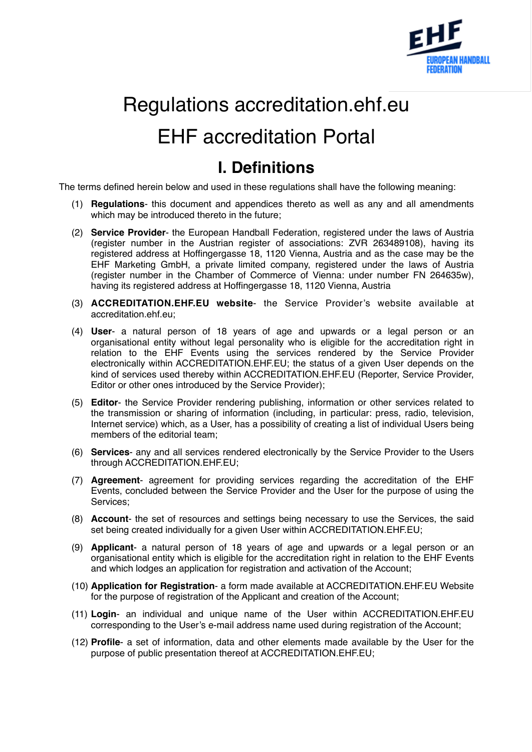

# Regulations accreditation.ehf.eu EHF accreditation Portal

### **I. Definitions**

The terms defined herein below and used in these regulations shall have the following meaning:

- (1) **Regulations** this document and appendices thereto as well as any and all amendments which may be introduced thereto in the future;
- (2) **Service Provider** the European Handball Federation, registered under the laws of Austria (register number in the Austrian register of associations: ZVR 263489108), having its registered address at Hoffingergasse 18, 1120 Vienna, Austria and as the case may be the EHF Marketing GmbH, a private limited company, registered under the laws of Austria (register number in the Chamber of Commerce of Vienna: under number FN 264635w), having its registered address at Hoffingergasse 18, 1120 Vienna, Austria
- (3) **ACCREDITATION.EHF.EU website** the Service Provider's website available at accreditation.ehf.eu;
- (4) **User** a natural person of 18 years of age and upwards or a legal person or an organisational entity without legal personality who is eligible for the accreditation right in relation to the EHF Events using the services rendered by the Service Provider electronically within ACCREDITATION.EHF.EU; the status of a given User depends on the kind of services used thereby within ACCREDITATION.EHF.EU (Reporter, Service Provider, Editor or other ones introduced by the Service Provider);
- (5) **Editor** the Service Provider rendering publishing, information or other services related to the transmission or sharing of information (including, in particular: press, radio, television, Internet service) which, as a User, has a possibility of creating a list of individual Users being members of the editorial team;
- (6) **Services** any and all services rendered electronically by the Service Provider to the Users through ACCREDITATION.EHF.EU;
- (7) **Agreement** agreement for providing services regarding the accreditation of the EHF Events, concluded between the Service Provider and the User for the purpose of using the Services;
- (8) **Account** the set of resources and settings being necessary to use the Services, the said set being created individually for a given User within ACCREDITATION.EHF.EU;
- (9) **Applicant** a natural person of 18 years of age and upwards or a legal person or an organisational entity which is eligible for the accreditation right in relation to the EHF Events and which lodges an application for registration and activation of the Account;
- (10) **Application for Registration** a form made available at ACCREDITATION.EHF.EU Website for the purpose of registration of the Applicant and creation of the Account;
- (11) **Login** an individual and unique name of the User within ACCREDITATION.EHF.EU corresponding to the User's e-mail address name used during registration of the Account;
- (12) **Profile** a set of information, data and other elements made available by the User for the purpose of public presentation thereof at ACCREDITATION.EHF.EU;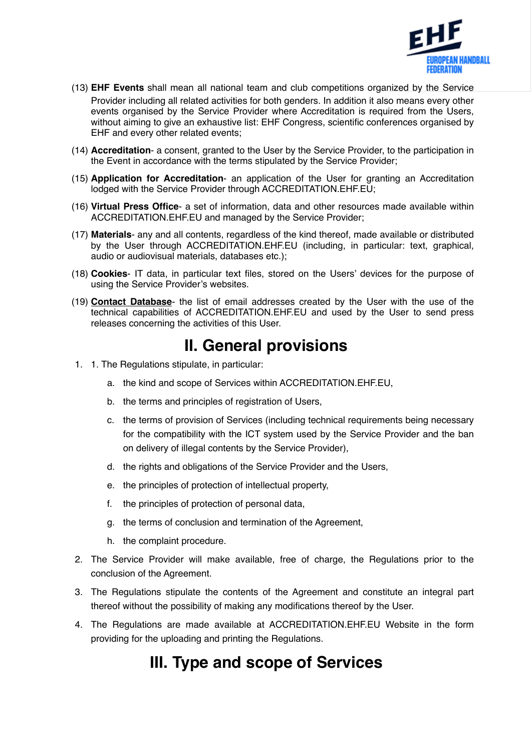

- (13) **EHF Events** shall mean all national team and club competitions organized by the Service Provider including all related activities for both genders. In addition it also means every other events organised by the Service Provider where Accreditation is required from the Users, without aiming to give an exhaustive list: EHF Congress, scientific conferences organised by EHF and every other related events;
- (14) **Accreditation** a consent, granted to the User by the Service Provider, to the participation in the Event in accordance with the terms stipulated by the Service Provider;
- (15) **Application for Accreditation** an application of the User for granting an Accreditation lodged with the Service Provider through ACCREDITATION.EHF.EU;
- (16) **Virtual Press Office** a set of information, data and other resources made available within ACCREDITATION.EHF.EU and managed by the Service Provider;
- (17) **Materials** any and all contents, regardless of the kind thereof, made available or distributed by the User through ACCREDITATION.EHF.EU (including, in particular: text, graphical, audio or audiovisual materials, databases etc.);
- (18) **Cookies** IT data, in particular text files, stored on the Users' devices for the purpose of using the Service Provider's websites.
- (19) **[Contact Database](https://accredito.com/appendix)** the list of email addresses created by the User with the use of the technical capabilities of ACCREDITATION.EHF.EU and used by the User to send press releases concerning the activities of this User.

#### **II. General provisions**

- 1. 1. The Regulations stipulate, in particular:
	- a. the kind and scope of Services within ACCREDITATION.EHF.EU,
	- b. the terms and principles of registration of Users,
	- c. the terms of provision of Services (including technical requirements being necessary for the compatibility with the ICT system used by the Service Provider and the ban on delivery of illegal contents by the Service Provider),
	- d. the rights and obligations of the Service Provider and the Users,
	- e. the principles of protection of intellectual property,
	- f. the principles of protection of personal data,
	- g. the terms of conclusion and termination of the Agreement,
	- h. the complaint procedure.
- 2. The Service Provider will make available, free of charge, the Regulations prior to the conclusion of the Agreement.
- 3. The Regulations stipulate the contents of the Agreement and constitute an integral part thereof without the possibility of making any modifications thereof by the User.
- 4. The Regulations are made available at ACCREDITATION.EHF.EU Website in the form providing for the uploading and printing the Regulations.

#### **III. Type and scope of Services**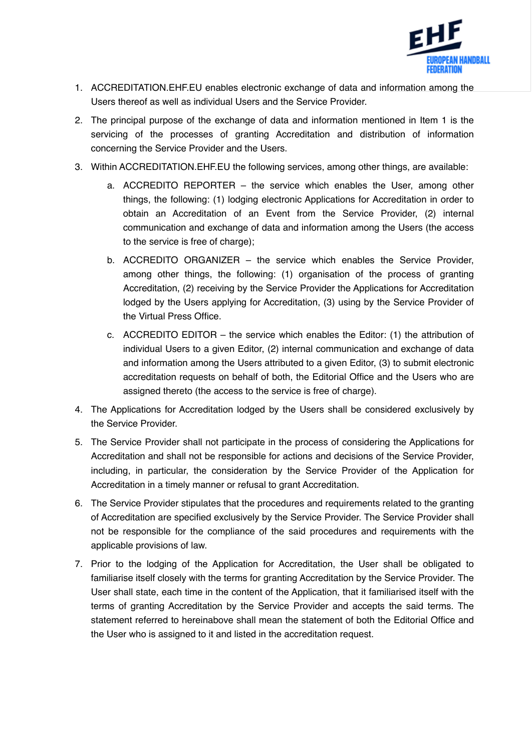

- 1. ACCREDITATION.EHF.EU enables electronic exchange of data and information among the Users thereof as well as individual Users and the Service Provider.
- 2. The principal purpose of the exchange of data and information mentioned in Item 1 is the servicing of the processes of granting Accreditation and distribution of information concerning the Service Provider and the Users.
- 3. Within ACCREDITATION.EHF.EU the following services, among other things, are available:
	- a. ACCREDITO REPORTER the service which enables the User, among other things, the following: (1) lodging electronic Applications for Accreditation in order to obtain an Accreditation of an Event from the Service Provider, (2) internal communication and exchange of data and information among the Users (the access to the service is free of charge);
	- b. ACCREDITO ORGANIZER the service which enables the Service Provider, among other things, the following: (1) organisation of the process of granting Accreditation, (2) receiving by the Service Provider the Applications for Accreditation lodged by the Users applying for Accreditation, (3) using by the Service Provider of the Virtual Press Office.
	- c. ACCREDITO EDITOR the service which enables the Editor: (1) the attribution of individual Users to a given Editor, (2) internal communication and exchange of data and information among the Users attributed to a given Editor, (3) to submit electronic accreditation requests on behalf of both, the Editorial Office and the Users who are assigned thereto (the access to the service is free of charge).
- 4. The Applications for Accreditation lodged by the Users shall be considered exclusively by the Service Provider.
- 5. The Service Provider shall not participate in the process of considering the Applications for Accreditation and shall not be responsible for actions and decisions of the Service Provider, including, in particular, the consideration by the Service Provider of the Application for Accreditation in a timely manner or refusal to grant Accreditation.
- 6. The Service Provider stipulates that the procedures and requirements related to the granting of Accreditation are specified exclusively by the Service Provider. The Service Provider shall not be responsible for the compliance of the said procedures and requirements with the applicable provisions of law.
- 7. Prior to the lodging of the Application for Accreditation, the User shall be obligated to familiarise itself closely with the terms for granting Accreditation by the Service Provider. The User shall state, each time in the content of the Application, that it familiarised itself with the terms of granting Accreditation by the Service Provider and accepts the said terms. The statement referred to hereinabove shall mean the statement of both the Editorial Office and the User who is assigned to it and listed in the accreditation request.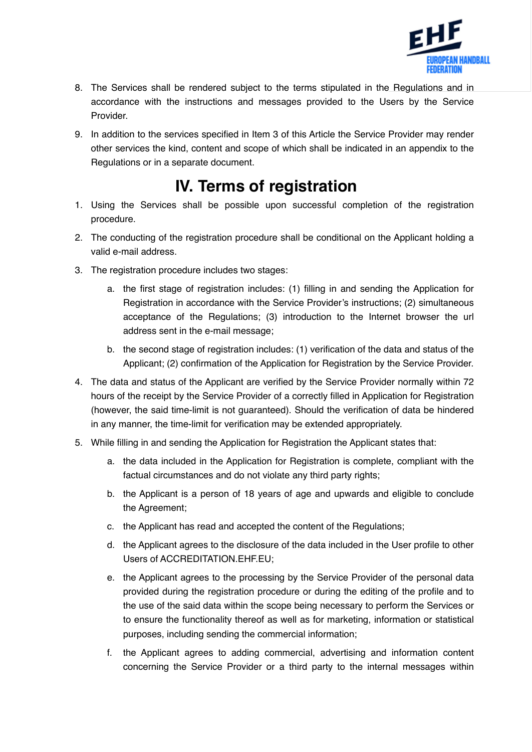

- 8. The Services shall be rendered subject to the terms stipulated in the Regulations and in accordance with the instructions and messages provided to the Users by the Service Provider.
- 9. In addition to the services specified in Item 3 of this Article the Service Provider may render other services the kind, content and scope of which shall be indicated in an appendix to the Regulations or in a separate document.

# **IV. Terms of registration**

- 1. Using the Services shall be possible upon successful completion of the registration procedure.
- 2. The conducting of the registration procedure shall be conditional on the Applicant holding a valid e-mail address.
- 3. The registration procedure includes two stages:
	- a. the first stage of registration includes: (1) filling in and sending the Application for Registration in accordance with the Service Provider's instructions; (2) simultaneous acceptance of the Regulations; (3) introduction to the Internet browser the url address sent in the e-mail message;
	- b. the second stage of registration includes: (1) verification of the data and status of the Applicant; (2) confirmation of the Application for Registration by the Service Provider.
- 4. The data and status of the Applicant are verified by the Service Provider normally within 72 hours of the receipt by the Service Provider of a correctly filled in Application for Registration (however, the said time-limit is not guaranteed). Should the verification of data be hindered in any manner, the time-limit for verification may be extended appropriately.
- 5. While filling in and sending the Application for Registration the Applicant states that:
	- a. the data included in the Application for Registration is complete, compliant with the factual circumstances and do not violate any third party rights;
	- b. the Applicant is a person of 18 years of age and upwards and eligible to conclude the Agreement;
	- c. the Applicant has read and accepted the content of the Regulations;
	- d. the Applicant agrees to the disclosure of the data included in the User profile to other Users of ACCREDITATION.EHF.EU;
	- e. the Applicant agrees to the processing by the Service Provider of the personal data provided during the registration procedure or during the editing of the profile and to the use of the said data within the scope being necessary to perform the Services or to ensure the functionality thereof as well as for marketing, information or statistical purposes, including sending the commercial information;
	- f. the Applicant agrees to adding commercial, advertising and information content concerning the Service Provider or a third party to the internal messages within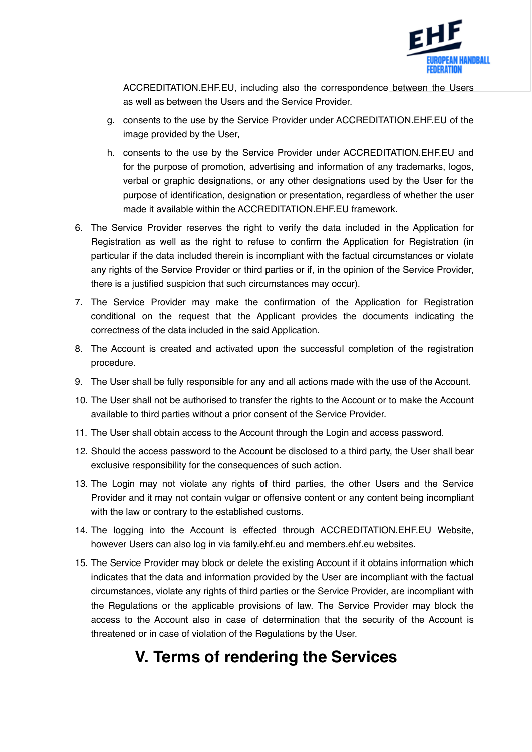

ACCREDITATION.EHF.EU, including also the correspondence between the Users as well as between the Users and the Service Provider.

- g. consents to the use by the Service Provider under ACCREDITATION.EHF.EU of the image provided by the User,
- h. consents to the use by the Service Provider under ACCREDITATION.EHF.EU and for the purpose of promotion, advertising and information of any trademarks, logos, verbal or graphic designations, or any other designations used by the User for the purpose of identification, designation or presentation, regardless of whether the user made it available within the ACCREDITATION.EHF.EU framework.
- 6. The Service Provider reserves the right to verify the data included in the Application for Registration as well as the right to refuse to confirm the Application for Registration (in particular if the data included therein is incompliant with the factual circumstances or violate any rights of the Service Provider or third parties or if, in the opinion of the Service Provider, there is a justified suspicion that such circumstances may occur).
- 7. The Service Provider may make the confirmation of the Application for Registration conditional on the request that the Applicant provides the documents indicating the correctness of the data included in the said Application.
- 8. The Account is created and activated upon the successful completion of the registration procedure.
- 9. The User shall be fully responsible for any and all actions made with the use of the Account.
- 10. The User shall not be authorised to transfer the rights to the Account or to make the Account available to third parties without a prior consent of the Service Provider.
- 11. The User shall obtain access to the Account through the Login and access password.
- 12. Should the access password to the Account be disclosed to a third party, the User shall bear exclusive responsibility for the consequences of such action.
- 13. The Login may not violate any rights of third parties, the other Users and the Service Provider and it may not contain vulgar or offensive content or any content being incompliant with the law or contrary to the established customs.
- 14. The logging into the Account is effected through ACCREDITATION.EHF.EU Website, however Users can also log in via family.ehf.eu and members.ehf.eu websites.
- 15. The Service Provider may block or delete the existing Account if it obtains information which indicates that the data and information provided by the User are incompliant with the factual circumstances, violate any rights of third parties or the Service Provider, are incompliant with the Regulations or the applicable provisions of law. The Service Provider may block the access to the Account also in case of determination that the security of the Account is threatened or in case of violation of the Regulations by the User.

## **V. Terms of rendering the Services**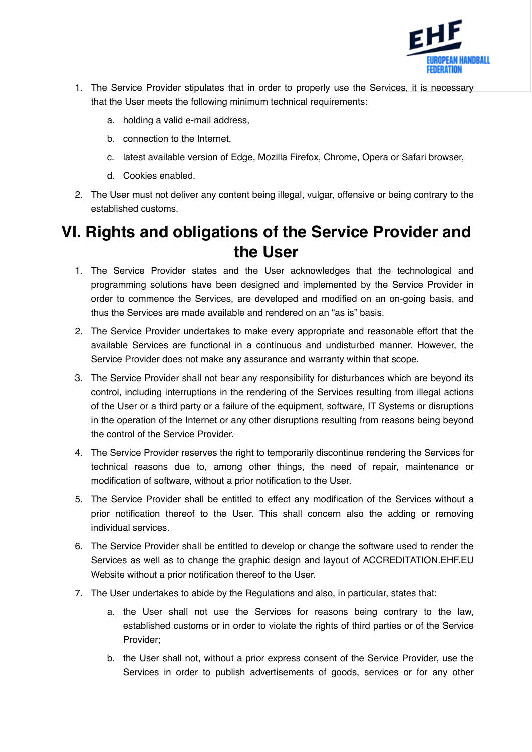

- 1. The Service Provider stipulates that in order to properly use the Services, it is necessary that the User meets the following minimum technical requirements:
	- a. holding a valid e-mail address,
	- b. connection to the Internet,
	- c. latest available version of Edge, Mozilla Firefox, Chrome, Opera or Safari browser,
	- d. Cookies enabled.
- 2. The User must not deliver any content being illegal, vulgar, offensive or being contrary to the established customs.

## **VI. Rights and obligations of the Service Provider and the User**

- 1. The Service Provider states and the User acknowledges that the technological and programming solutions have been designed and implemented by the Service Provider in order to commence the Services, are developed and modified on an on-going basis, and thus the Services are made available and rendered on an "as is" basis.
- 2. The Service Provider undertakes to make every appropriate and reasonable effort that the available Services are functional in a continuous and undisturbed manner. However, the Service Provider does not make any assurance and warranty within that scope.
- 3. The Service Provider shall not bear any responsibility for disturbances which are beyond its control, including interruptions in the rendering of the Services resulting from illegal actions of the User or a third party or a failure of the equipment, software, IT Systems or disruptions in the operation of the Internet or any other disruptions resulting from reasons being beyond the control of the Service Provider.
- 4. The Service Provider reserves the right to temporarily discontinue rendering the Services for technical reasons due to, among other things, the need of repair, maintenance or modification of software, without a prior notification to the User.
- 5. The Service Provider shall be entitled to effect any modification of the Services without a prior notification thereof to the User. This shall concern also the adding or removing individual services.
- 6. The Service Provider shall be entitled to develop or change the software used to render the Services as well as to change the graphic design and layout of ACCREDITATION.EHF.EU Website without a prior notification thereof to the User.
- 7. The User undertakes to abide by the Regulations and also, in particular, states that:
	- a. the User shall not use the Services for reasons being contrary to the law, established customs or in order to violate the rights of third parties or of the Service Provider;
	- b. the User shall not, without a prior express consent of the Service Provider, use the Services in order to publish advertisements of goods, services or for any other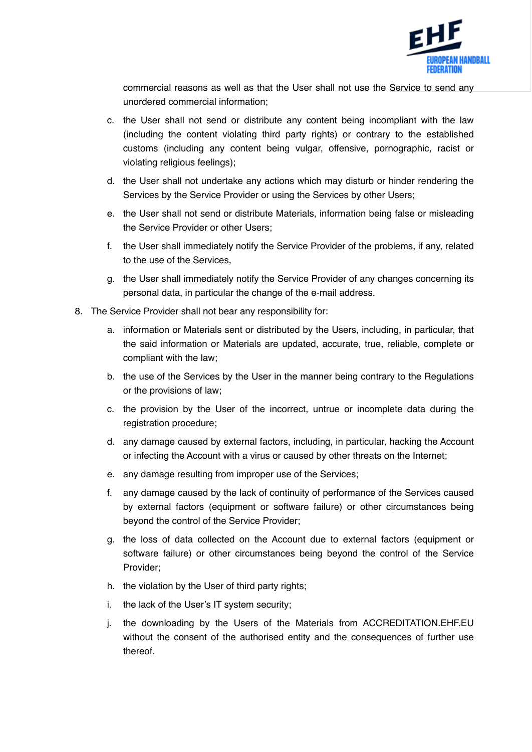

commercial reasons as well as that the User shall not use the Service to send any unordered commercial information;

- c. the User shall not send or distribute any content being incompliant with the law (including the content violating third party rights) or contrary to the established customs (including any content being vulgar, offensive, pornographic, racist or violating religious feelings);
- d. the User shall not undertake any actions which may disturb or hinder rendering the Services by the Service Provider or using the Services by other Users;
- e. the User shall not send or distribute Materials, information being false or misleading the Service Provider or other Users;
- f. the User shall immediately notify the Service Provider of the problems, if any, related to the use of the Services,
- g. the User shall immediately notify the Service Provider of any changes concerning its personal data, in particular the change of the e-mail address.
- 8. The Service Provider shall not bear any responsibility for:
	- a. information or Materials sent or distributed by the Users, including, in particular, that the said information or Materials are updated, accurate, true, reliable, complete or compliant with the law;
	- b. the use of the Services by the User in the manner being contrary to the Regulations or the provisions of law;
	- c. the provision by the User of the incorrect, untrue or incomplete data during the registration procedure;
	- d. any damage caused by external factors, including, in particular, hacking the Account or infecting the Account with a virus or caused by other threats on the Internet;
	- e. any damage resulting from improper use of the Services;
	- f. any damage caused by the lack of continuity of performance of the Services caused by external factors (equipment or software failure) or other circumstances being beyond the control of the Service Provider;
	- g. the loss of data collected on the Account due to external factors (equipment or software failure) or other circumstances being beyond the control of the Service Provider;
	- h. the violation by the User of third party rights;
	- i. the lack of the User's IT system security;
	- j. the downloading by the Users of the Materials from ACCREDITATION.EHF.EU without the consent of the authorised entity and the consequences of further use thereof.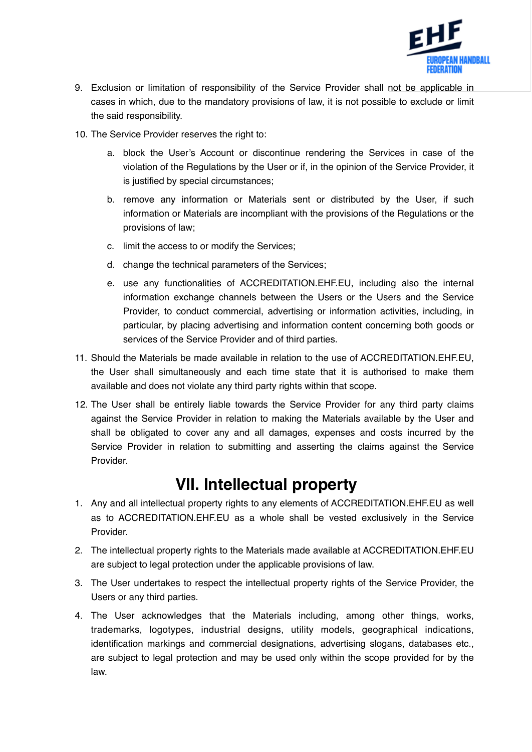

- 9. Exclusion or limitation of responsibility of the Service Provider shall not be applicable in cases in which, due to the mandatory provisions of law, it is not possible to exclude or limit the said responsibility.
- 10. The Service Provider reserves the right to:
	- a. block the User's Account or discontinue rendering the Services in case of the violation of the Regulations by the User or if, in the opinion of the Service Provider, it is justified by special circumstances;
	- b. remove any information or Materials sent or distributed by the User, if such information or Materials are incompliant with the provisions of the Regulations or the provisions of law;
	- c. limit the access to or modify the Services;
	- d. change the technical parameters of the Services;
	- e. use any functionalities of ACCREDITATION.EHF.EU, including also the internal information exchange channels between the Users or the Users and the Service Provider, to conduct commercial, advertising or information activities, including, in particular, by placing advertising and information content concerning both goods or services of the Service Provider and of third parties.
- 11. Should the Materials be made available in relation to the use of ACCREDITATION.EHF.EU, the User shall simultaneously and each time state that it is authorised to make them available and does not violate any third party rights within that scope.
- 12. The User shall be entirely liable towards the Service Provider for any third party claims against the Service Provider in relation to making the Materials available by the User and shall be obligated to cover any and all damages, expenses and costs incurred by the Service Provider in relation to submitting and asserting the claims against the Service Provider.

## **VII. Intellectual property**

- 1. Any and all intellectual property rights to any elements of ACCREDITATION.EHF.EU as well as to ACCREDITATION.EHF.EU as a whole shall be vested exclusively in the Service Provider.
- 2. The intellectual property rights to the Materials made available at ACCREDITATION.EHF.EU are subject to legal protection under the applicable provisions of law.
- 3. The User undertakes to respect the intellectual property rights of the Service Provider, the Users or any third parties.
- 4. The User acknowledges that the Materials including, among other things, works, trademarks, logotypes, industrial designs, utility models, geographical indications, identification markings and commercial designations, advertising slogans, databases etc., are subject to legal protection and may be used only within the scope provided for by the law.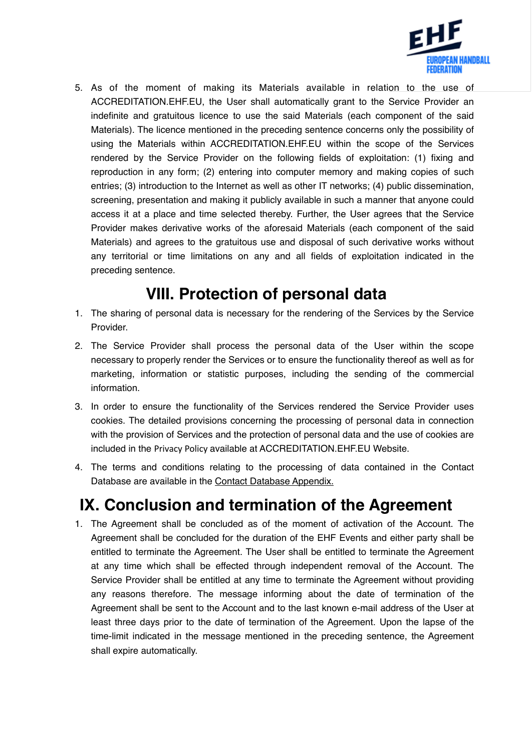

5. As of the moment of making its Materials available in relation to the use of ACCREDITATION.EHF.EU, the User shall automatically grant to the Service Provider an indefinite and gratuitous licence to use the said Materials (each component of the said Materials). The licence mentioned in the preceding sentence concerns only the possibility of using the Materials within ACCREDITATION.EHF.EU within the scope of the Services rendered by the Service Provider on the following fields of exploitation: (1) fixing and reproduction in any form; (2) entering into computer memory and making copies of such entries; (3) introduction to the Internet as well as other IT networks; (4) public dissemination, screening, presentation and making it publicly available in such a manner that anyone could access it at a place and time selected thereby. Further, the User agrees that the Service Provider makes derivative works of the aforesaid Materials (each component of the said Materials) and agrees to the gratuitous use and disposal of such derivative works without any territorial or time limitations on any and all fields of exploitation indicated in the preceding sentence.

# **VIII. Protection of personal data**

- 1. The sharing of personal data is necessary for the rendering of the Services by the Service Provider.
- 2. The Service Provider shall process the personal data of the User within the scope necessary to properly render the Services or to ensure the functionality thereof as well as for marketing, information or statistic purposes, including the sending of the commercial information.
- 3. In order to ensure the functionality of the Services rendered the Service Provider uses cookies. The detailed provisions concerning the processing of personal data in connection with the provision of Services and the protection of personal data and the use of cookies are included in the Privacy Policy available at ACCREDITATION.EHF.EU Website.
- 4. The terms and conditions relating to the processing of data contained in the Contact Database are available in the [Contact Database Appendix.](https://accreditation.ehf.eu)

## **IX. Conclusion and termination of the Agreement**

1. The Agreement shall be concluded as of the moment of activation of the Account. The Agreement shall be concluded for the duration of the EHF Events and either party shall be entitled to terminate the Agreement. The User shall be entitled to terminate the Agreement at any time which shall be effected through independent removal of the Account. The Service Provider shall be entitled at any time to terminate the Agreement without providing any reasons therefore. The message informing about the date of termination of the Agreement shall be sent to the Account and to the last known e-mail address of the User at least three days prior to the date of termination of the Agreement. Upon the lapse of the time-limit indicated in the message mentioned in the preceding sentence, the Agreement shall expire automatically.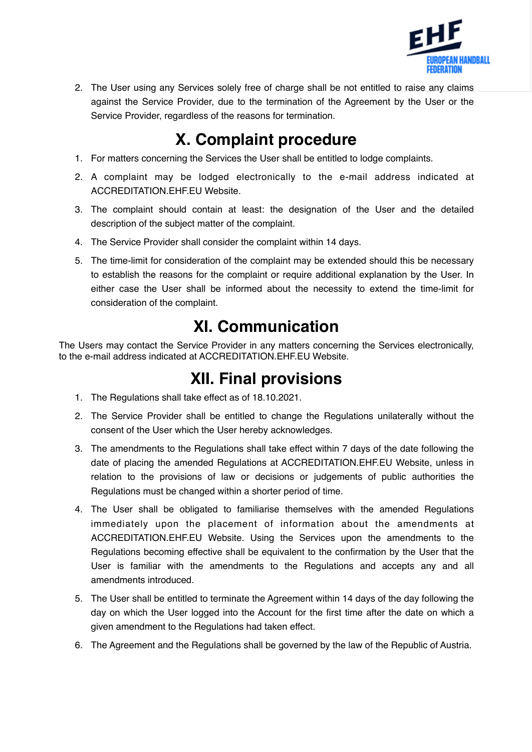

2. The User using any Services solely free of charge shall be not entitled to raise any claims against the Service Provider, due to the termination of the Agreement by the User or the Service Provider, regardless of the reasons for termination.

# **X. Complaint procedure**

- 1. For matters concerning the Services the User shall be entitled to lodge complaints.
- 2. A complaint may be lodged electronically to the e-mail address indicated at ACCREDITATION.EHF.EU Website.
- 3. The complaint should contain at least: the designation of the User and the detailed description of the subject matter of the complaint.
- 4. The Service Provider shall consider the complaint within 14 days.
- 5. The time-limit for consideration of the complaint may be extended should this be necessary to establish the reasons for the complaint or require additional explanation by the User. In either case the User shall be informed about the necessity to extend the time-limit for consideration of the complaint.

## **XI. Communication**

The Users may contact the Service Provider in any matters concerning the Services electronically, to the e-mail address indicated at ACCREDITATION.EHF.EU Website.

## **XII. Final provisions**

- 1. The Regulations shall take effect as of 18.10.2021.
- 2. The Service Provider shall be entitled to change the Regulations unilaterally without the consent of the User which the User hereby acknowledges.
- 3. The amendments to the Regulations shall take effect within 7 days of the date following the date of placing the amended Regulations at ACCREDITATION.EHF.EU Website, unless in relation to the provisions of law or decisions or judgements of public authorities the Regulations must be changed within a shorter period of time.
- 4. The User shall be obligated to familiarise themselves with the amended Regulations immediately upon the placement of information about the amendments at ACCREDITATION.EHF.EU Website. Using the Services upon the amendments to the Regulations becoming effective shall be equivalent to the confirmation by the User that the User is familiar with the amendments to the Regulations and accepts any and all amendments introduced.
- 5. The User shall be entitled to terminate the Agreement within 14 days of the day following the day on which the User logged into the Account for the first time after the date on which a given amendment to the Regulations had taken effect.
- 6. The Agreement and the Regulations shall be governed by the law of the Republic of Austria.